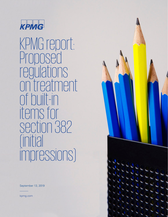

KPMG report: Proposed regulations on treatment of built-in items for section 382 (initial impressions)

September 13, 2019

kpmg.com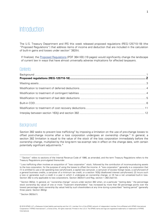# Introduction

The U.S. Treasury Department and IRS this week released proposed regulations (REG-125710-18) (the "Proposed Regulations") that address items of income and deduction that are included in the calculation of built-in gains and losses under section<sup>[1](#page-1-1)</sup> 382(h).

If finalized, the [Proposed Regulations](https://www.govinfo.gov/content/pkg/FR-2019-09-10/pdf/2019-18152.pdf) [PDF 364 KB] (19 pages) would significantly change the landscape of current law in ways that have almost universally adverse implications for affected taxpayers.

#### Contents

#### <span id="page-1-0"></span>Background

l

Section 38[2](#page-1-2) seeks to prevent loss trafficking<sup>2</sup> by imposing a limitation on the use of pre-change losses to offset post-change income after a loss corporation undergoes an ownership change.<sup>[3](#page-1-3)</sup> In general, a section 382 limitation is equal to the value of the stock of the loss corporation immediately before the ownership change, multiplied by the long-term tax-exempt rate in effect on the change date, with certain potentially significant adjustments.[4](#page-1-4)

<span id="page-1-1"></span><sup>1</sup> "Section" refers to sections of the Internal Revenue Code of 1986, as amended, and the term Treasury Regulations refers to the Treasury Regulations promulgated thereunder.

<span id="page-1-2"></span><sup>&</sup>lt;sup>2</sup> Loss trafficking often involves an acquisition of "loss corporation" stock, followed by the contribution of income-producing assets to the loss corporation, for the purpose of using the losses to offset the income. A "loss corporation" generally is a corporation that (1) is entitled to use a net operating loss carryforward, a capital loss carryover, a carryover of excess foreign taxes, a carryforward of a general business credits, a carryover of a minimum tax credit, or a section 163(j) disallowed interest carryforward; (2) incurs such a loss or generates such a credit in a year in which it undergoes an ownership change; or (3) has a net unrealized built-in loss. Section 382 is only applicable to loss corporations. Section 382(k)(1) and Reg. section 1.382-2(a)(1)(i).

<span id="page-1-3"></span><sup>&</sup>lt;sup>3</sup> Section 382(a). In general, an "ownership change" occurs under section 382 when, on a particular "testing date," the percentage stock ownership (by value) of one or more "5-percent shareholders" has increased by more than 50 percentage points over the lowest percentage stock ownership (by value) held by such shareholders at any time during a prescribed "testing period" (generally three years). Section 382(g).

<span id="page-1-4"></span><sup>4</sup> Section 382(b)(1).

<sup>© 2019</sup> KPMG LLP, a Delaware limited liability partnership and the U.S. member firm of the KPMG network of independent member firms affiliated with KPMG International Cooperative ("KPMG International"), a Swiss entity. All rights reserved. Printed in the U.S.A. The KPMG name and logo are registered trademarks or trademarks of KPMG International.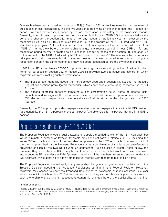One such adjustment is contained in section 382(h). Section 382(h) provides rules for the treatment of built-in gain or loss recognized during the five-year period beginning on the change date (the "recognition period") with respect to assets owned by the loss corporation immediately before ownership change. Generally, if an old loss corporation has net unrealized built-in gain ("NUBIG") immediately before the ownership change, the section 382 limitation for any recognition period tax year is increased by the recognized built-in gain ("RBIG") for such tax year, up to the amount of the NUBIG (reduced by NUBIG absorbed in prior years).<sup>[5](#page-2-1)</sup> If, on the other hand, an old loss corporation has net unrealized built-in loss ("NUBIL") immediately before the ownership change, any recognized built-in loss ("RBIL") for any recognition period tax year is treated as a pre-change loss for purposes of the section 382 limitation, up to the amount of the NUBIL (reduced by NUBIL absorbed in prior years).<sup>[6](#page-2-2)</sup> These rules reflect a neutrality principle, which aims to treat built-in gains and losses of a loss corporation recognized during the recognition period in the same manner as if they had been recognized before the ownership change.

In 2003, the IRS issued Notice 2003-65 to provide interim guidance regarding the identification of built-in items for purposes of section 382(h). Notice 2003-65 provides two alternative approaches on which taxpayers can rely in making such determinations.

- The first approach generally adopts the methodology used under section 1374(d) and the Treasury Regulations sections promulgated thereunder, which apply accrual accounting concepts (the "1374 Approach").
- The second approach generally compares a loss corporation's actual items of income, gain, deduction, and loss against those that would have resulted had the loss corporation made a section 338 election with respect to a hypothetical sale of all its stock on the change date (the "338 Approach").

Generally, the 338 Approach provides taxpayer-favorable rules for taxpayers that are in a NUBIG position. Also generally, the 1374 Approach provides taxpayer-favorable rules for taxpayers that are in a NUBIL position.

# <span id="page-2-0"></span>Proposed regulations (REG-125710-18)

The Proposed Regulations would require taxpayers to apply a modified version of the 1374 Approach, but would eliminate a number of taxpayer-favorable provisions set forth in Notice 2003-65, including the entire 338 Approach and many of the favorable components of the 1374 Approach. One way to think of the method prescribed by the Proposed Regulations is as a combination of the least taxpayer-favorable provisions of each of the two Notice 2003-65 approaches. As discussed in greater detail below, the Proposed Regulations treat as RBIL many built-in loss or deduction items that would not have been taken into account as RBILs under the 1374 Approach but which might have been taken into account under the 338 Approach, while adhering to a fairly strict accrual method with respect to built-in gain items.

The Proposed Regulations would apply to any ownership change occurring after date of publication of the Treasury Decision adopting the Proposed Regulations as final in the Federal Register. However, taxpayers may choose to apply the Proposed Regulations to ownership changes occurring in a year which respect to which section 6511(a) has not expired, so long as the rules are applied consistently to such ownership change and all subsequent ownership changes before the applicability of the final

 $\overline{a}$ 

<span id="page-2-1"></span><sup>5</sup> Section 382(h)(1)(A).

<span id="page-2-2"></span><sup>&</sup>lt;sup>6</sup> Section 382(h)(1)(B). If a loss corporation's NUBIG or NUBIL does not exceed a threshold amount (the lesser of \$10 million or 15% of the fair market value of certain assets immediately before the ownership change), the loss corporation's NUBIG or NUBIL will be zero. Section 382(h)(3)(B).

<sup>© 2019</sup> KPMG LLP, a Delaware limited liability partnership and the U.S. member firm of the KPMG network of independent member firms affiliated with KPMG International Cooperative ("KPMG International"), a Swiss entity. All rights reserved. Printed in the U.S.A. The KPMG name and logo are registered trademarks or trademarks of KPMG International.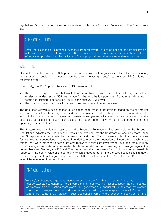regulations. Outlined below are some of the ways in which the Proposed Regulations differ from current law.

#### KPMG observation

Given the likelihood of substantial pushback from taxpayers, it is to be anticipated that finalization will take some time following the 60-day notice period. Government representatives have informally emphasized that the package is "just a proposal" and they are amenable to comments.

#### <span id="page-3-0"></span>Wasting assets

One notable feature of the 338 Approach is that it allows built-in gain assets for which depreciation, amortization, or depletion deductions can be taken ("wasting assets") to generate RBIG without a realization event.

Specifically, the 338 Approach treats as RBIG the excess of:

- The cost recovery deduction that would have been allowable with respect to a built-in gain asset had an election under section 338 been made for the hypothetical purchase of that asset (disregarding bonus depreciation under section 168(k), per Notice 2018-30) over
- The loss corporation's actual allowable cost recovery deduction for the asset.

The deduction allowable had a section 338 election been made is determined based on the fair market value of the asset on the change date and a cost recovery period that begins on the change date. The logic of this rule is that such built-in gain assets would generate income in subsequent years; in the absence of an acquisition, such income could have been offset freely by the old loss corporation's net operating losses ("NOLs").

This feature would no longer apply under the Proposed Regulations. The preamble to the Proposed Regulations indicates that the IRS and Treasury determined that the treatment of wasting assets under the 338 Approach is problematic for two reasons. First, the IRS and Treasury noted that the schedules for cost recovery deductions were never intended to match the production of income from each asset; rather, they were intended to accelerate cost recovery to stimulate investment. Thus, this proxy is likely to, on average, overstate income created by those assets, further increasing NOL usage beyond the neutral baseline. Second, the IRS and Treasury argued that the value of a built-in gain asset already is reflected in the equity value of the company, which is used to determine the base section 382 limitation. Consequently, treating foregone amortization as RBIG would constitute a "double benefit" that could incentivize uneconomic acquisitions.

# KPMG observation

Treasury's substantive argument appears to overlook the fact that a "wasting" asset economically must be expected to generate more income than a "non-wasting" asset to justify the same value. For example, if a non-wasting asset worth \$100 generates a \$5 annual return, an asset that wastes to zero over a five-year period would have to be expected to generate approximately \$25 a year to warrant that same \$100 valuation. Such additional income is the economic equivalent of the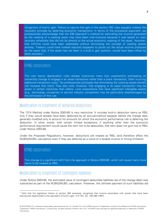recognition of built-in gain. Failure to capture that gain in the section 382 rules arguably violates the neutrality principle by deterring economic transactions. In terms of the procedural argument, tax professionals acknowledge that the 338 Approach's method for estimating the income generated by the wasting of a wasting asset may have been over-inclusive because it was based on costrecovery schedules that did not tie directly to the actual economic wasting of the asset. However, that infirmity could have been addressed without eliminating the concept of wasting assets entirely. Treasury could have instead required taxpayers to prove out the actual income produced by the asset that, if the asset had not been in a built-in gain position, would have been offset by basis recovery.<sup>[7](#page-4-2)</sup>

# KPMG observation

The new bonus depreciation rules already incentivize many loss corporations anticipating an ownership change to engage in an asset transaction rather than a stock transaction, often incurring additional transaction costs. Tax professionals anticipate that eliminating the wasting assets benefit will increase that trend. They also note, however, that engaging in an asset transaction may be easier in certain industries than others. Loss corporations that have significant intangible assets (e.g., technology companies or service industry companies) may be particularly disadvantaged by the elimination of this rule.

#### <span id="page-4-0"></span>Modification to treatment of deferred deductions

The 1374 Method under Notice 2003-65 is very restrictive. It includes built-in deduction items as RBIL only if they would already have been deducted by an accrual-method taxpayer before the change date, generally modified only to account for amounts for which the economic performance rule is deferring the deduction. In other words, with certain limited exceptions, if anything other than the economic performance requirement would cause the item not to be deductible, that item does not give rise to RBIL under Notice 2003-65.

Under the Proposed Regulations, however, deductions are treated as RBIL (and therefore affect the NUBIG/NUBIL calculation) even if they are deferred as a result of a taxable income or timing limitation.

### KPMG observation

l

This change is a significant shift from the approach in Notice 2003-65, which will cause many more items to be treated as RBIL.

#### <span id="page-4-1"></span>Modification to treatment of contingent liabilities

Under Notice 2003-65, the estimated value of contingent deductible liabilities (as of the change date) was subtracted as part of the NUBIG/NUBIL calculation. However, the ultimate payment of such liabilities did

<span id="page-4-2"></span> $<sup>7</sup>$  Note that the legislative history to section 384 expressly recognizes that income associated with assets that have been</sup> prematurely depreciated is the equivalent of built-in gain. H.R. REP. NO. 100-495 (1987).

<sup>© 2019</sup> KPMG LLP, a Delaware limited liability partnership and the U.S. member firm of the KPMG network of independent member firms affiliated with KPMG International Cooperative ("KPMG International"), a Swiss entity. All rights reserved. Printed in the U.S.A. The KPMG name and logo are registered trademarks or trademarks of KPMG International.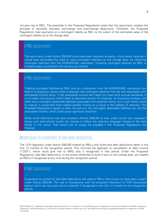not give rise to RBIL. The preamble to the Proposed Regulations notes that this asymmetry violates the principle of neutrality between pre-change and post-change deductions. Therefore, the Proposed Regulations treat payments on a contingent liability as RBIL to the extent of the estimated value of the contingent liability as of the change date.

# KPMG observation

The asymmetry under Notice 2003-65 could have been resolved as easily—more easily, because it would have eliminated the need to value contingent liabilities on the change date—by removing contingent liabilities from the NUBIG/NUBIL calculation. Including contingent liabilities as RBIL is fundamentally inconsistent with the accrual method.

#### KPMG observation

Treating contingent liabilities as RBIL (and as a subtraction from the NUBIG/NUBIL calculation) can lead to incongruous results when a taxpayer has contingent liabilities that are also associated with anticipated income items. If the associated income item does not meet strict accrual standards, it is not taken into account, which leads to distortive results. For example, an insurance company will often have contingent deductible liabilities associated with potential claims, but if such claims were to mature, it would also have related taxable income as a result of the release of reserves. The Proposed Regulations appear to take into account the contingent deductible liabilities but not the associated income, which could cause significant distortion.

While some distortions may have existed in Notice 2003-65 as well, under current law, taxpayers facing such aberrational results can choose to follow the statutory language instead of the safe harbor in the notice. That option will no longer be available if the Proposed Regulations are finalized.

#### <span id="page-5-0"></span>Modification to treatment of bad debt deductions

The 1374 Approach under Notice 2003-65 treated as RBILs only those bad debt deductions taken in the first 12 months of the recognition period. This mirrored the approach to cancellation of debt income ("COD"), which could give rise to RBIG only if recognized in that period. Under the Proposed Regulations, bad debt deductions, to the extent attributed to built-in loss on the change date, are treated as RBILs if recognized at any time during the recognition period.

# KPMG observation

Expanding the period for bad debt deductions will capture RBILs that would not have been caught under Notice 2003-65. The rule is incongruous with the proposed treatment of COD (discussed below) which can only give rise to a benefit if recognized in the first 12 months of the recognition period.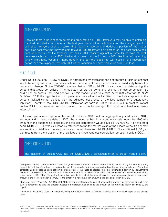# KPMG observation

Because there is no longer an automatic presumption of RBIL, taxpayers may be able to establish that bad debt deductions, even in the first year, were not actually built in on the change date. For example, taxpayers such as banks that regularly reserve and deduct a portion of their debt portfolios each year may now be able to avoid RBIL treatment on a portion of their post-change bad debt deductions. Posit a taxpayer that has a 10% reserve against a particular portfolio of debt because each debt has a 90% likelihood of being paid in full and a 10% likelihood of becoming wholly worthless. When an instrument in the portfolio becomes worthless in the recognition period, can the taxpayer treat only 10% of the resulting bad debt deduction as built-in loss?

#### <span id="page-6-0"></span>Built-in COD

.

 $\overline{\phantom{a}}$ 

Under Notice 2003-65, NUBIG or NUBIL is determined by calculating the net amount of gain or loss that would be recognized in a hypothetical sale of the assets of the loss corporation immediately before the ownership change. Notice 2003-65 provides that NUBIG or NUBIL is calculated by determining the amount that would be realized "if immediately before the ownership change the loss corporation had sold all of its assets, including goodwill, at fair market value to a third party that assumed all of its liabilities...."<sup>[8](#page-6-1)</sup> If the hypothetical third party assumes all of the liabilities of the loss corporation, the amount realized cannot be less than the adjusted issue price of the loss corporation's outstanding liabilities.<sup>[9](#page-6-2)</sup> Therefore, the NUBIG/NUBIL calculation set forth in Notice 2003-65 will, in practice, reflect built-in COD of an insolvent loss corporation. The IRS acknowledged this result in at least one private letter ruling.<sup>[10](#page-6-3)</sup>

If, for example, a loss corporation has assets valued at \$100, with an aggregate adjusted basis of \$100, and outstanding recourse debt of \$200, the amount realized in a hypothetical sale would be \$200 (the amount of the outstanding liabilities), and the loss corporation would have a \$100 NUBIG. If, on the other hand, NUBIG/NUBIL was calculated by reference to the fair market value of the assets without a deemed assumption of liabilities, the loss corporation would have zero NUBIL/NUBIG. The additional \$100 gain that results from the inclusion of the liabilities of an insolvent loss corporation represents built-in COD.

#### KPMG observation

The inclusion of built-in COD into the NUBIL/NUBIG calculation often is proper from a policy

6

<span id="page-6-1"></span><sup>&</sup>lt;sup>8</sup> (Emphasis added). Under Notice 2003-65, the gross amount realized on such sale is then (i) decreased by the sum of (A) any deductible liabilities of the loss corporation that would be included in the amount realized on the hypothetical sale and (B) the loss corporation's aggregate adjusted basis in all of its assets; (ii) increased or decreased by the corporation's section 481 adjustments that would be taken into account on a hypothetical sale; and (iii) increased by any RBIL that would not be allowed as a deduction under sections 382, 383 or 384 on the hypothetical sale. To the extent the amount realized under such calculation is positive, such amount is the loss corporation's NUBIG; to the extent it is negative, such amount is the loss corporation's NUBIL.

<span id="page-6-2"></span><sup>&</sup>lt;sup>9</sup> See, e.g., Comm'r v. Tufts, 461 U.S. 300 (1983) (amount realized on the sale of underwater property for a nominal sum plus the buyer's agreement to take the property subject to a mortgage was equal to the amount of the mortgage liability assumed by the buyer).

<span id="page-6-3"></span><sup>&</sup>lt;sup>10</sup> See, PLR 201051019 (Sept. 14, 2010) (including in the NUBIG/NUBIL calculation liabilities that were discharged on the change date).

<sup>© 2019</sup> KPMG LLP, a Delaware limited liability partnership and the U.S. member firm of the KPMG network of independent member firms affiliated with KPMG International Cooperative ("KPMG International"), a Swiss entity. All rights reserved. Printed in the U.S.A. The KPMG name and logo are registered trademarks or trademarks of KPMG International.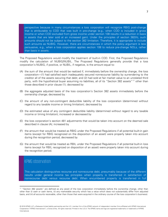perspective because in many circumstances a loss corporation will recognize RBIG post-change that is attributable to COD that was built in pre-change (e.g., when COD is included in gross income or when COD excluded from gross income under section 108 results in a reduction in basis in assets that are later sold at an increased gain). Under the principles of section 382(h), such amounts should not be subject to the section 382 limitation. Therefore, it is appropriate to include such amounts as NUBIG. However, there are circumstances in which the policy argument is less persuasive, e.g., when a loss corporation applies section 108 to reduce pre-change NOLs, rather than basis in assets.

The Proposed Regulations would modify the treatment of built-in COD. First, the Proposed Regulations modify the calculation of NUBIG/NUBIL. The Proposed Regulations generally provide that a loss corporation's NUBIG, if positive, or NUBIL, if negative, is the amount equal to:

- (A) the sum of the amount that would be realized if, immediately before the ownership change, the loss corporation—(1) had satisfied each inadequately secured nonrecourse liability by surrendering to the creditor all of the assets securing that debt; and (2) had sold at fair market value to an unrelated third party, with the hypothetical buyer assuming no liabilities, all of its "Section 382 assets"<sup>[11](#page-7-0)</sup> other than those described in prior clause (1); decreased by
- (B) the aggregate adjusted basis of the loss corporation's Section 382 assets immediately before the ownership change; decreased by
- (C) the amount of any non-contingent deductible liability of the loss corporation (determined without regard to any taxable income or timing limitation); decreased by
- (D) the estimated value of any contingent deductible liability (determined without regard to any taxable income or timing limitation); increased or decreased by
- (E) the loss corporation's section 481 adjustments that would be taken into account on the deemed sale described in clause (A); increased by
- (F) the amount that would be treated as RBIG under the Proposed Regulations if all potential built-in gain items (except for RBIG recognized on the disposition of an asset) were properly taken into account during the recognition period; decreased by
- (G) the amount that would be treated as RBIL under the Proposed Regulations if all potential built-in loss items (except for RBIL recognized on disposition of an asset) were properly taken into account during the recognition period.

# KPMG observation

l

This calculation distinguishes recourse and nonrecourse debt, presumably because of the different results under general income tax principles when property is transferred in satisfaction of nonrecourse debt versus recourse debt. When encumbered property is transferred in full

<span id="page-7-0"></span><sup>&</sup>lt;sup>11</sup> "Section 382 assets" are defined as any asset of the loss corporation immediately before the ownership change, other than other than (i) cash or cash items, (ii) any marketable security which has a value which does not substantially differ from adjusted basis, and (iii) all accounts receivable, other than those that were acquired in the ordinary course of the loss corporation's business).

<sup>© 2019</sup> KPMG LLP, a Delaware limited liability partnership and the U.S. member firm of the KPMG network of independent member firms affiliated with KPMG International Cooperative ("KPMG International"), a Swiss entity. All rights reserved. Printed in the U.S.A. The KPMG name and logo are registered trademarks or trademarks of KPMG International.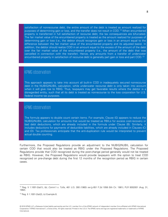satisfaction of nonrecourse debt, the entire amount of the debt is treated as amount realized for purposes of determining gain or loss, and the transfer does not result in COD.<sup>[12](#page-8-0)</sup> When encumbered property is transferred in full satisfaction of recourse debt, the tax consequences are bifurcated. The fair market value of the encumbered property is treated as the amount realized for purposes of determining gain or loss (i.e., the debtor should recognize gain or loss in an amount equal to the difference between the fair market value of the encumbered property and its adjusted basis). In addition, the debtor should realize COD in an amount equal to the excess of the amount of the debt over the fair market value of the encumbered property (i.e., the amount of the debt that was cancelled in connection with the transfer). Hence, any amounts from a transfer of underwater encumbered property in satisfaction of recourse debt is generally part gain or loss and part COD.<sup>[13](#page-8-1)</sup>

#### KPMG observation

This approach appears to take into account all built-in COD in inadequately secured nonrecourse debt in the NUBIG/NUBIL calculation, while underwater recourse debt is only taken into account when it will give rise to RBIG. Thus, taxpayers may get favorable results where the debtor is a disregarded entity, such that all its debt is treated as nonrecourse to the loss corporation for U.S. federal income tax purposes.

#### KPMG observation

The formula appears to double count certain items. For example, Clause (G) appears to reduce the NUBIG/NUBIL calculation for amounts that would be treated as RBILs for excess cost-recovery or bad debt deductions, which are already included in the formula under Clause (B). Similarly, it includes deductions for payments of deductible liabilities, which are already included in Clauses (C) and (D). Tax professionals anticipate that the anti-duplication rule would be interpreted to prevent actual double counting.

Furthermore, the Proposed Regulations provide an adjustment to the NUBIG/NUBIL calculation for certain COD that would also be treated as RBIG under the Proposed Regulations. The Proposed Regulations provide that COD recognized during the post-change period generally would not be treated as RBIG. However, the Proposed Regulations would provide taxpayers with the option to treat COD recognized on pre-change debt during the first 12 months of the recognition period as RBIG in certain cases.

l

<span id="page-8-0"></span><sup>12</sup> Reg. § 1.1001-2(a)(1), (b); Comm'r v. Tufts, 461 U.S. 300 (1983) rev'g 651 F.2d 1058 (5th Cir. 1981); PLR 9302001 (Aug. 31, 1992).

<span id="page-8-1"></span><sup>13</sup> Reg. § 1.1001-2(a)(2), (c) Example 8.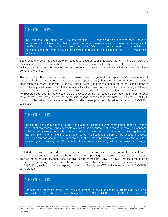# KPMG observation

The Proposed Regulations limit RBIG treatment to COD recognized on pre-change debt. There is no provision to address debt that is treated as newly issued merely as a result of a significant modification under Reg. section 1.1001-3. Arguably COD with respect to modified debt which has the same adjusted issue price as pre-change debt should be eligible for RBIG if it otherwise qualifies.

Specifically this option is available with respect to recourse debt that gives rise to: (1) taxable COD, and (2) excluded COD, to the extent section 108(b) reduces attributes that are not pre-change losses, including reduction of the basis of the loss corporation's assets that were not held at the time of the ownership change.

The amount of RBIG that can arise from these provisions generally is capped at (1) the amount of recourse liabilities discharged by the federal bankruptcy court (when the loss corporation is under the jurisdiction of a court under title 11 of the United States Code on the change date), or (2) the extent to which the adjusted issue price of the recourse liabilities taken into account in determining insolvency exceeds the sum of (A) the fair market value of assets of the corporation that are not securing nonrecourse debt and (B) the excess value of assets securing nonrecourse debt over the amount of debt they secure immediately before the ownership change (when not in bankruptcy). The amount of COD that could be taken into account as RBIG under these provisions is added to the NUBIG/NUBIL calculation.

### KPMG observation

The cap for insolvency appears to add in the value of assets securing nonrecourse debt only to the extent that the assets in the aggregate exceed all nonrecourse debt in the aggregate. This appears to be a misstatement, which tax professionals anticipate would be corrected in final regulations. The example implementing this calculation takes into account the sum of the excess of assets securing each nonrecourse debt over the amount of that debt, which is more consistent with the apparent goal of limiting the RBIG benefit to the extent of insolvency before the ownership change.

Excluded COD from recourse debt that applies to reduce the tax basis of a loss corporation's Section 382 assets (i.e., assets held immediately before the ownership change, as opposed to assets not held at the time of the ownership change), does not give rise to immediate RBIG. However, the basis reduction is treated as occurring immediately before the ownership change for purposes of computing NUBIG/NUBIL, such that the corresponding amount of excluded COD is included in the NUBIG/NUBIL computation.

#### KPMG observation

Although the preamble states that the adjustment to basis of assets is treated as occurring immediately before the ownership change for both NUBIG/NUBIL and RBIG/RBIL, it does not

<sup>© 2019</sup> KPMG LLP, a Delaware limited liability partnership and the U.S. member firm of the KPMG network of independent member firms affiliated with KPMG International Cooperative ("KPMG International"), a Swiss entity. All rights reserved. Printed in the U.S.A. The KPMG name and logo are registered trademarks or trademarks of KPMG International.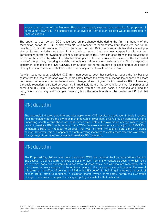appear that the text of the Proposed Regulations properly captures that reduction for purposes of computing RBIG/RBIL. This appears to be an oversight that it is anticipated would be corrected in final regulations.

The option to treat certain COD recognized on pre-change debt during the first 12 months of the recognition period as RBIG is also available with respect to nonrecourse debt that gives rise to: (1) taxable COD; and (2) excluded COD to the extent section 108(b) reduces attributes that are not prechange losses, including reduction in the basis of assets that the loss corporation did not own immediately before the ownership change. The amount of RBIG that can arise from these provisions is capped at the amount by which the adjusted issue price of the nonrecourse debt exceeds the fair market value of the property securing the debt immediately before the ownership change. No corresponding adjustment is made to the NUBIG/NUBIL computation, as the full amount of excess nonrecourse debt is already taken into account in that calculation, so an adjustment would be duplicative.

As with recourse debt, excluded COD from nonrecourse debt that applies to reduce the tax basis of assets that the loss corporation owned immediately before the ownership change (as opposed to assets not owned immediately before the ownership change), does not give rise to immediate RBIG. However, the basis reduction is treated as occurring immediately before the ownership change for purposes of computing RBIG/RBIL. Consequently, if the asset with the reduced basis is disposed of during the recognition period, any additional gain resulting from the reduction should be treated as RBIG at that time.

#### KPMG observation

The preamble indicates that different rules apply when COD results in a reduction in basis in assets held immediately before the ownership change (which gives rise to RBIG only on disposition of the underlying asset) versus those not held immediately before the ownership change (which gives rise to immediate RBIG with respect to the COD) because a taxpayer cannot adjust NUBIG/NUBIL or generate RBIG with respect to an asset that was not held immediately before the ownership change. However, this rule appears to create a strong incentive to cycle assets after the ownership change to get into the more favorable immediate RBIG situation.

### KPMG observation

The Proposed Regulations refer only to excluded COD that reduces the loss corporation's Section 382 assets—a defined term that excludes cash or cash items; any marketable security which has a value which does not substantially differ from adjusted basis; and all accounts receivable, other than those that were acquired in the ordinary course of the loss corporation's business. The use of this term has the effect of denying an RBIG or NUBIG benefit for built-in gain created as a result of section 108(b) attribute reduction in excluded assets owned immediately before the ownership change. There does not appear to be a good policy rationale for that distinction.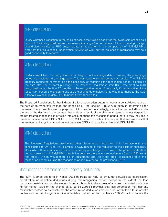# KPMG observation

Query whether a reduction in the basis of assets that takes place after the ownership change as a result of COD recognized before the ownership change (but in the year of the ownership change), should also give rise to RBIG and/or create an adjustment in the computation of NUBIG/NUBIL. Note that this issue arises under Notice 2003-65 as well, but the issuance of regulations may be a good opportunity to resolve it.

### KPMG observation

Under current law, the recognition period begins on the change date; however, the pre-change period also includes the change date. This can lead to some aberrational results. The IRS and Treasury requested comments on the possibility of redefining the recognition period to begin on the date after the ownership change. The Proposed Regulations limit RBIG treatment to COD recognized during the first 12 months of the recognition period. Presumably if the definition of the recognition period is changed to exclude the change date, adjustments would be made to the COD rules to allow change-date COD to benefit from these rules.

The Proposed Regulations further indicate if a loss corporation enters or leaves a consolidated group on the date of an ownership change, the principles of Reg. section 1.1502-76(b) apply in determining the treatment of any taxable item for purposes of this section. Accordingly, items that are includible under the end of the day rule in the tax year that ends as a result of the change in status of a loss corporation are not treated as recognized or taken into account during the recognition period, nor are they included in the determination of NUBIG or NUBIL. Thus, COD that is includible in the tax year that ends as a result of the member's change in status does not generate RBIG and is not includible in NUBIG / NUBIL.

# KPMG observation

The Proposed Regulations provide no other discussion of how they might interface with the consolidated return rules. For example, if COD results in the reduction to the basis of subsidiary stock which then results in reduction to subsidiary pre-change NOLs, would the group nonetheless get to increase its NUBIG/NUBIL calculation because there was a reduction in a Section 382 asset (the stock)? If not, would there be an adjustment later on if the stock is disposed of in the recognition period, causing the recognition of gain related to the pre-change COD?

### <span id="page-11-0"></span>Modification to treatment of cost recovery deductions

The 1374 Method set forth in Notice 2003-65 treats as RBIL all amounts allowable as depreciation, amortization or depletion deductions during the recognition period, except to the extent the loss corporation establishes that the amount is not attributable to the excess of an asset's adjusted basis over its fair market value on the change date. Notice 2003-65 provides that loss corporation may use any reasonable method to establish that the amortization deduction amount is not attributable to an asset's built-in loss on the change date. One acceptable method set forth in Notice 2003-65 is to compare the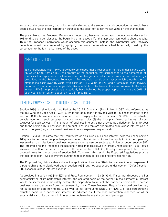amount of the cost-recovery deduction actually allowed to the amount of such deduction that would have been allowed had the loss corporation purchased the asset for its fair market value on the change date.

The preamble to the Proposed Regulations notes that, because depreciation deductions under section 168 tend to be larger closer to the beginning of an asset's life, this approach can lead to absurd results. Thus, the Proposed Regulations would abandon this approach. Instead, the hypothetical cost recovery deduction would be computed by applying the same depreciation schedule actually used by the corporation to the fair market value of the asset.

### KPMG observation

Tax professionals with KPMG previously concluded that a reasonable method under Notice 2003- 65 would be to treat as RBIL the amount of the deduction that corresponds to the percentage of the basis that represented built-in loss on the change date, which effectively is the methodology prescribed in the Proposed Regulations. For example, consider an asset which amortizes on a straight-line basis over 15 years with basis of \$150, value of \$75, and a remaining cost-recovery period of 10 years on the change date. Because 50% of the basis in the asset represents the builtin loss, KPMG tax professionals historically have believed the proper approach is to treat 50% of each year's amortization deduction (i.e., \$7.5) as RBIL.

#### <span id="page-12-0"></span>Interplay between section 163(j) and section 382

Section 163(j), as significantly modified by the 2017 U.S. tax law (Pub. L. No. 115-97, also referred to as the Tax Cuts and Jobs Act ("TCJA")), limits the deduction for any tax year for business interest to the sum of (1) the business interest income of such taxpayer for such tax year, (2) 30% of the adjusted taxable income of such taxpayer for such tax year, plus (3) the floor plan financing interest of such taxpayer for such tax year. If an amount of business interest is not allowed as a deduction for a tax year due to the section 163(j) limitation, the amount is carried forward and treated as business interest paid in the next tax year (i.e., a disallowed business interest expense carryforward).

Section 382(d)(3) indicates that that carryovers of disallowed business interest expense under section 163(j) are to be treated as pre-change loss under rules similar to those that apply to limit net operating losses—i.e., that disallowed business interest expense can be subject to limitation under section 382. The preamble to the Proposed Regulations notes that disallowed interest under section 163(j) could likewise fall within the definition of an RBIL under section 382(h)(6), thereby causing such items to be counted twice for the purpose of section 382. To prevent this result, the Proposed Regulations provide that use of section 163(j) carryovers during the recognition period does not give rise to RBIL.

The Proposed Regulations also address the application of section 382(h) to business interest expense of a partnership that is disallowed under section 163(j) but not suspended under section 704(d) ("section 382 excess business interest expense").

As provided in section 163(j)(4)(B)(iii) and Prop. Reg. section 1.163-6(h)(3)(i), if a partner disposes of all or substantially all of its partnership interest, the adjusted basis of the partner in the partnership interest would be increased immediately before the disposition to reflect the partner's section 382 excess business interest expense from the partnership, if any. These Proposed Regulations would provide that, for purposes of determining RBIL, as well as for computing NUBIG or NUBIL, a loss corporation's adjusted basis in a partnership interest is adjusted as if the loss corporation disposed of all or substantially all of its partnership interests immediately before the ownership change.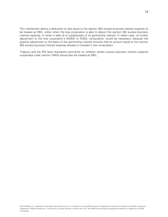This mechanism allows a deduction or loss equal to the section 382 excess business interest expense to be treated as RBIL, either when the loss corporation is able to deduct the section 382 excess business interest expense, or when it sells all or substantially of its partnership interest. In either case, no further adjustment to the loss corporation's NUBIG or NUBIL computation would be necessary, because the positive adjustment to the basis of the partnership interest ensures that an amount equal to the section 382 excess business interest expense already is included in the computation.

Treasury and the IRS have requested comments on whether certain excess business interest expense suspended under section 704(d) should also be treated as RBIL.